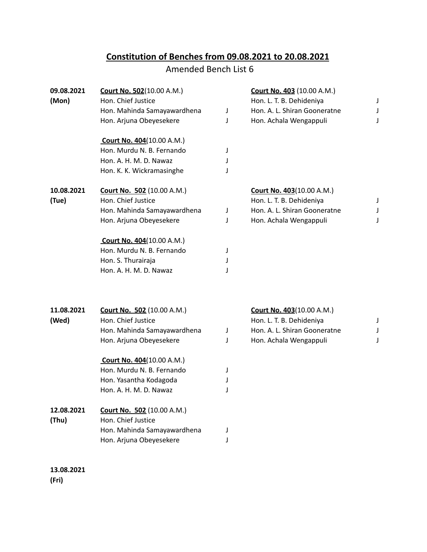## **Constitution of Benches from 09.08.2021 to 20.08.2021**

## Amended Bench List 6

| 09.08.2021<br>(Mon) | <b>Court No. 502</b> (10.00 A.M.) |   | <b>Court No. 403 (10.00 A.M.)</b> |   |
|---------------------|-----------------------------------|---|-----------------------------------|---|
|                     | Hon. Chief Justice                |   | Hon. L. T. B. Dehideniya          | J |
|                     | Hon. Mahinda Samayawardhena       | J | Hon. A. L. Shiran Gooneratne      | J |
|                     | Hon. Arjuna Obeyesekere           | J | Hon. Achala Wengappuli            | J |
|                     | <b>Court No. 404 (10.00 A.M.)</b> |   |                                   |   |
|                     | Hon. Murdu N. B. Fernando         | J |                                   |   |
|                     | Hon. A. H. M. D. Nawaz            | J |                                   |   |
|                     | Hon. K. K. Wickramasinghe         | J |                                   |   |
| 10.08.2021          | <b>Court No. 502</b> (10.00 A.M.) |   | <b>Court No. 403 (10.00 A.M.)</b> |   |
| (Tue)               | Hon. Chief Justice                |   | Hon. L. T. B. Dehideniya          | J |
|                     | Hon. Mahinda Samayawardhena       | J | Hon. A. L. Shiran Gooneratne      | J |
|                     | Hon. Arjuna Obeyesekere           | J | Hon. Achala Wengappuli            | J |
|                     | <b>Court No. 404 (10.00 A.M.)</b> |   |                                   |   |
|                     | Hon. Murdu N. B. Fernando         | J |                                   |   |
|                     | Hon. S. Thurairaja                | J |                                   |   |
|                     | Hon. A. H. M. D. Nawaz            | J |                                   |   |
|                     |                                   |   |                                   |   |
| 11.08.2021          | <b>Court No. 502 (10.00 A.M.)</b> |   | Court No. 403(10.00 A.M.)         |   |
| (Wed)               | Hon. Chief Justice                |   | Hon. L. T. B. Dehideniya          | J |
|                     | Hon. Mahinda Samayawardhena       | J | Hon. A. L. Shiran Gooneratne      |   |
|                     | Hon. Arjuna Obeyesekere           | J | Hon. Achala Wengappuli            | J |
|                     | <b>Court No. 404</b> (10.00 A.M.) |   |                                   |   |
|                     | Hon. Murdu N. B. Fernando         | J |                                   |   |
|                     | Hon. Yasantha Kodagoda            | J |                                   |   |
|                     | Hon. A. H. M. D. Nawaz            |   |                                   |   |
| 12.08.2021          | <b>Court No. 502 (10.00 A.M.)</b> |   |                                   |   |
| (Thu)               | Hon. Chief Justice                |   |                                   |   |
|                     | Hon. Mahinda Samayawardhena       | J |                                   |   |
|                     | Hon. Arjuna Obeyesekere           |   |                                   |   |
| 13 08 2021          |                                   |   |                                   |   |

**13.08.2021 (Fri)**